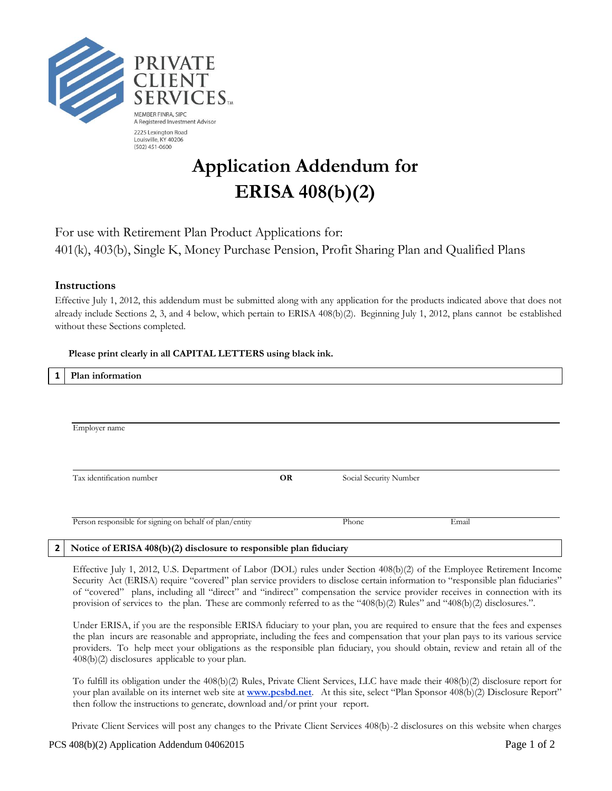

# **Application Addendum for ERISA 408(b)(2)**

## For use with Retirement Plan Product Applications for: 401(k), 403(b), Single K, Money Purchase Pension, Profit Sharing Plan and Qualified Plans

### **Instructions**

Effective July 1, 2012, this addendum must be submitted along with any application for the products indicated above that does not already include Sections 2, 3, and 4 below, which pertain to ERISA 408(b)(2). Beginning July 1, 2012, plans cannot be established without these Sections completed.

#### **Please print clearly in all CAPITAL LETTERS using black ink.**

| Plan information                                        |           |                        |       |  |
|---------------------------------------------------------|-----------|------------------------|-------|--|
|                                                         |           |                        |       |  |
|                                                         |           |                        |       |  |
| Employer name                                           |           |                        |       |  |
|                                                         |           |                        |       |  |
|                                                         |           |                        |       |  |
|                                                         |           |                        |       |  |
| Tax identification number                               | <b>OR</b> | Social Security Number |       |  |
|                                                         |           |                        |       |  |
| Person responsible for signing on behalf of plan/entity |           | Phone                  | Email |  |

#### **2 Notice of ERISA 408(b)(2) disclosure to responsible plan fiduciary**

Effective July 1, 2012, U.S. Department of Labor (DOL) rules under Section 408(b)(2) of the Employee Retirement Income Security Act (ERISA) require "covered" plan service providers to disclose certain information to "responsible plan fiduciaries" of "covered" plans, including all "direct" and "indirect" compensation the service provider receives in connection with its provision of services to the plan. These are commonly referred to as the "408(b)(2) Rules" and "408(b)(2) disclosures.".

Under ERISA, if you are the responsible ERISA fiduciary to your plan, you are required to ensure that the fees and expenses the plan incurs are reasonable and appropriate, including the fees and compensation that your plan pays to its various service providers. To help meet your obligations as the responsible plan fiduciary, you should obtain, review and retain all of the 408(b)(2) disclosures applicable to your plan.

To fulfill its obligation under the 408(b)(2) Rules, Private Client Services, LLC have made their 408(b)(2) disclosure report for your plan available on its internet web site at **www.pcsbd.net**. At this site, select "Plan Sponsor 408(b)(2) Disclosure Report" then follow the instructions to generate, download and/or print your report.

Private Client Services will post any changes to the Private Client Services 408(b)-2 disclosures on this website when charges